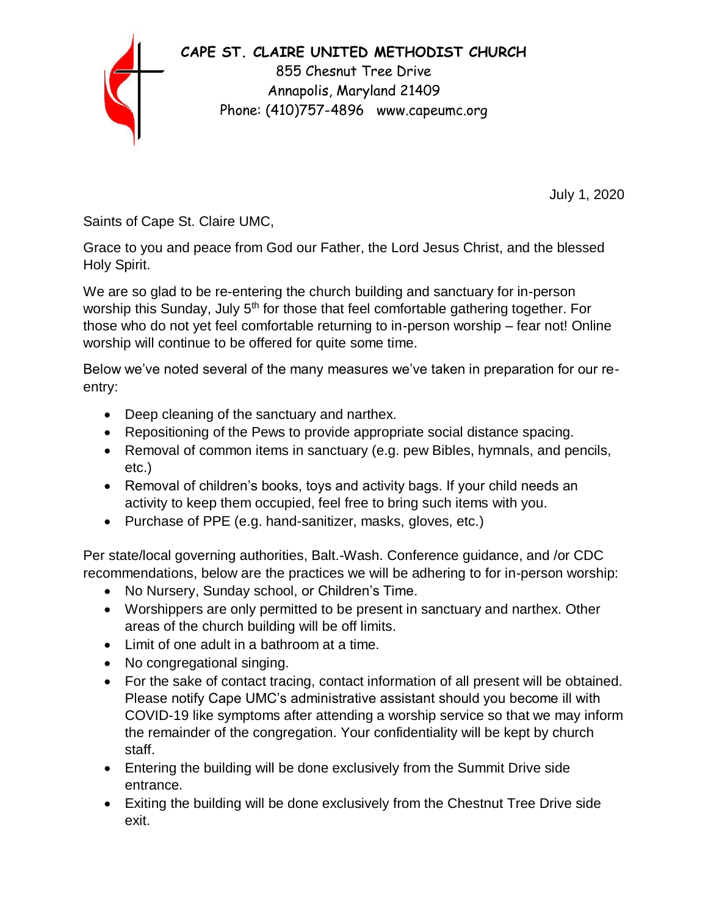## **CAPE ST. CLAIRE UNITED METHODIST CHURCH**



855 Chesnut Tree Drive Annapolis, Maryland 21409 Phone: (410)757-4896 [www.capeumc.org](http://www.capeumc.org/)

July 1, 2020

Saints of Cape St. Claire UMC,

Grace to you and peace from God our Father, the Lord Jesus Christ, and the blessed Holy Spirit.

We are so glad to be re-entering the church building and sanctuary for in-person worship this Sunday, July  $5<sup>th</sup>$  for those that feel comfortable gathering together. For those who do not yet feel comfortable returning to in-person worship – fear not! Online worship will continue to be offered for quite some time.

Below we've noted several of the many measures we've taken in preparation for our reentry:

- Deep cleaning of the sanctuary and narthex.
- Repositioning of the Pews to provide appropriate social distance spacing.
- Removal of common items in sanctuary (e.g. pew Bibles, hymnals, and pencils, etc.)
- Removal of children's books, toys and activity bags. If your child needs an activity to keep them occupied, feel free to bring such items with you.
- Purchase of PPE (e.g. hand-sanitizer, masks, gloves, etc.)

Per state/local governing authorities, Balt.-Wash. Conference guidance, and /or CDC recommendations, below are the practices we will be adhering to for in-person worship:

- No Nursery, Sunday school, or Children's Time.
- Worshippers are only permitted to be present in sanctuary and narthex. Other areas of the church building will be off limits.
- Limit of one adult in a bathroom at a time.
- No congregational singing.
- For the sake of contact tracing, contact information of all present will be obtained. Please notify Cape UMC's administrative assistant should you become ill with COVID-19 like symptoms after attending a worship service so that we may inform the remainder of the congregation. Your confidentiality will be kept by church staff.
- Entering the building will be done exclusively from the Summit Drive side entrance.
- Exiting the building will be done exclusively from the Chestnut Tree Drive side exit.